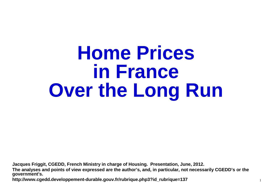# **Home Prices in FranceOver the Long Run**

**Jacques Friggit, CGEDD, French Ministry in charge of Housing. Presentation, June, 2012.**

**The analyses and points of view expressed are the author's, and, in particular, not necessarily CGEDD's or the government's.**

**http://www.cgedd.developpement-durable.gouv.fr/rubrique.php3?id\_rubrique=137**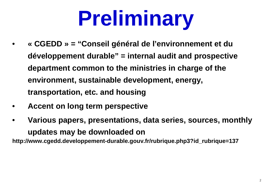# **Preliminary**

- • **« CGEDD » = "Conseil général de l'environnement et dudéveloppement durable" = internal audit and prospective department common to the ministries in charge of the environment, sustainable development, energy, transportation, etc. and housing**
- •**Accent on long term perspective**
- • **Various papers, presentations, data series, sources, monthly updates may be downloaded on**

**http://www.cgedd.developpement-durable.gouv.fr/rubrique.php3?id\_rubrique=137**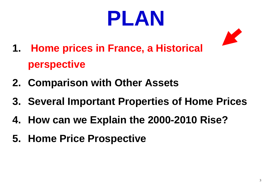



- **1. Home prices in France, a Historical perspective**
- **2. Comparison with Other Assets**
- **3. Several Important Properties of Home Prices**
- **4. How can we Explain the 2000-2010 Rise?**
- **5. Home Price Prospective**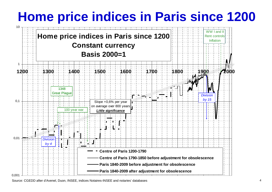# **Home price indices in Paris since <sup>1200</sup>**

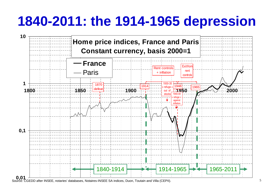### **1840-2011: the 1914-1965 depression**



Source: CGEDD after INSEE, notaries' databases, Notaires-INSEE SA indices, Duon, Toutain and Villa (CEPII).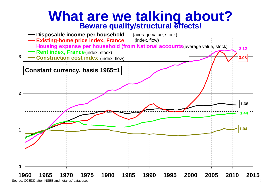# **What are we talking about? Beware quality/structural effects!**

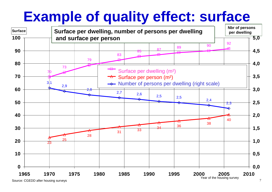# **Example of quality effect: surface**



Source: CGEDD after housing surveys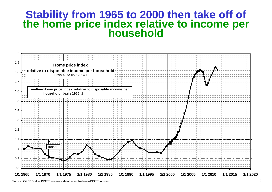# **Stability from 1965 to 2000 then take off of the home price index relative to income per household**



Source: CGEDD after INSEE, notaries' databases, Notaires-INSEE indices.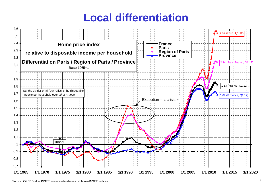#### **Local differentiation**



Source: CGEDD after INSEE, notaires'databases, Notaires-INSEE indices.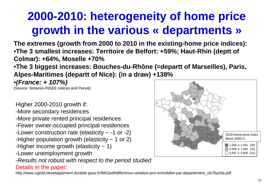## **2000-2010: heterogeneity of home price growth in the various « departments »**

**The extremes (growth from 2000 to 2010 in the existing-home price indices):** •**The 3 smallest increases: Territoire de Belfort: +59%; Haut-Rhin (deptt ofColmar): +64%, Moselle +70%**

•**The 3 biggest increases: Bouches-du-Rhône (=departt of Marseilles), Paris, Alpes-Maritimes (departt of Nice): (in a draw) +138%**

•**(France: + 107%)**

(Source: Notaires-INSEE indices and Perval)

Higher 2000-2010 growth if:

- -More secondary residences
- -More private rented principal residences
- -Fewer owner-occupied principal residences
- -Lower construction rate (elasticity ~ -1 or -2)
- -Higher population growth (elasticity  $\sim$  1 or 2)
- -Higher income growth (elasticity  $\sim$  1)
- -Lower unemployment growth
- -Results not robust with respect to the period studied

#### Details in the paper:

http://www.cgedd.developpement-durable.gouv.fr/IMG/pdf/difference-variation-prix-immobilier-par-departement\_cle76a2da.pdf

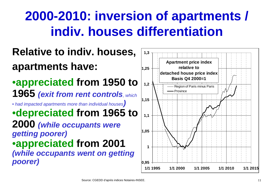### **2000-2010: inversion of apartments / indiv. houses differentiation**

### **Relative to indiv. houses, apartments have:**

•**appreciated from 1950 to 1965 (exit from rent controls**, which

• had impacted apartments more than individual houses**)** •**depreciated from 1965 to 2000 (while occupants weregetting poorer)** •**appreciated from <sup>2001</sup> (while occupants went on gettingpoorer)**

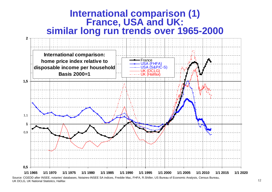

Source: CGEDD after INSEE, notaries' databases, Notaires-INSEE SA indices, Freddie Mac, FHFA, R.Shiller, US Bureau of Economic Analysis, Census Bureau, UK DCLG, UK National Statistics, Halifax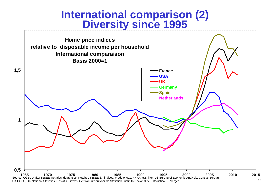#### **International comparison (2)Diversity since 1995**

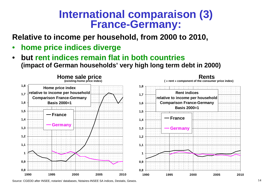# **International comparaison (3)<br>France-Germany:**

**Relative to income per household, from 2000 to 2010,**

- •**home price indices diverge**
- **but rent indices remain flat in both countries**  •**(impact of German households' very high long term debt in 2000)**



Source: CGEDD after INSEE, notaries' databases, Notaires-INSEE SA indices, Destatis, Gewos.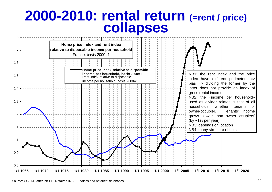# **2000-2010: rental return (=rent / price) collapses**

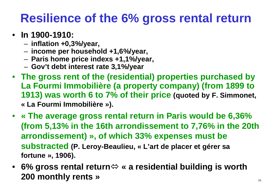# **Resilience of the 6% gross rental return**

- **In 1900-1910:** 
	- **inflation +0,3%/year,**
	- **income per household +1,6%/year,**
	- **Paris home price indexs +1,1%/year,**
	- **Gov't debt interest rate 3,1%/year**
- **The gross rent of the (residential) properties purchased by La Fourmi Immobilière (a property company) (from 1899 to 1913) was worth 6 to 7% of their price (quoted by F. Simmonet, « La Fourmi Immobilière »).**
- **« The average gross rental return in Paris would be 6,36% (from 5,13% in the 16th arrondissement to 7,76% in the 20th arrondissement) », of which 33% expenses must be substracted (P. Leroy-Beaulieu, « L'art de placer et gérer sa fortune », 1906).**
- **6% gross rental return « a residential building is worth 200 monthly rents »**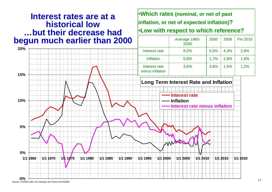#### **Interest rates are at <sup>a</sup> historical low…but their decrease hadbegun much earlier than 2000**

**Long Term Interest Rate and Inflation-5%0%** $1/1$  1965 **5%10%15%20%**that the 2010 of the 2015 of the 1980 of the 1985 of the 1990 of the 1995 of the 2000 of the 2005 of the 2010 o **Interest rateInflation Interest rate minus inflation**Interest rate | 3,6% %  $3,8\%$  1,5% 1,2% minus inflationInflation 5,6% $\frac{\%}{\%}$  1,7% 2,8% 1,6% Interest rate 9,2% $\frac{6}{1}$  5,5% 4,3% 2,8% 2000

•**Which rates (nominal, or net of past**

**inflation, or net of expected inflation)?**

•**Low with respect to which reference?**

<sup>2000</sup>

<sup>2008</sup> Fin 2010

Average 1965-

Source: CGEDD after Ixis, Banque de France and INSEE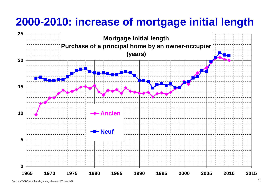## **2000-2010: increase of mortgage initial length**

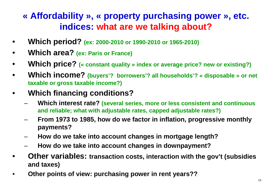#### **« Affordability », « property purchasing power », etc. indices: what are we talking about?**

- •**Which period? (ex: 2000-2010 or 1990-2010 or 1965-2010)**
- •**Which area? (ex: Paris or France)**
- •**Which price? (« constant quality » index or average price? new or existing?)**
- • **Which income? (buyers'? borrowers'? all households'? « disposable » or net taxable or gross taxable income?)**
- • **Which financing conditions?**
	- $-$  **Which interest rate? (several series, more or less consistent and continuous and reliable; what with adjustable rates, capped adjustable rates?)**
	- **From 1973 to 1985, how do we factor in inflation, progressive monthly payments?**
	- **How do we take into account changes in mortgage length?**
	- **How do we take into account changes in downpayment?**
- • **Other variables: transaction costs, interaction with the gov't (subsidies and taxes)**
- •**Other points of view: purchasing power in rent years??**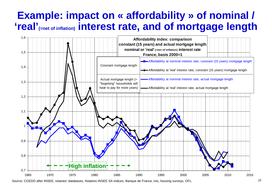#### **Example: impact on « affordability » of nominal / 'real'(=net of inflation) interest rate, and of mortgage length**



Source: CGEDD after INSEE, notaries' databases, Notaires-INSEE SA indices, Banque de France, Ixis, housing surveys, OFL.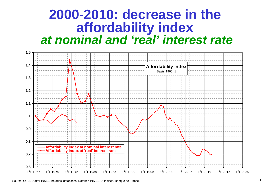### **2000-2010: decrease in the affordability index at nominal and 'real' interest rate**

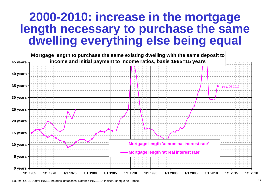#### **2000-2010: increase in the mortgage length necessary to purchase the same dwelling everything else being equal**

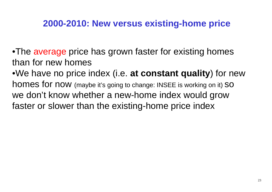#### **2000-2010: New versus existing-home price**

•The average price has grown faster for existing homes than for new homes •We have no price index (i.e. **at constant quality**) for new homes for now (maybe it's going to change: INSEE is working on it) SO we don't know whether a new-home index would grow<br>factor arelayser than the existing hame price index faster or slower than the existing-home price index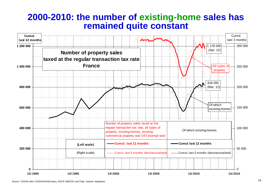#### **2000-2010: the number of existing-home sales has remained quite constant**

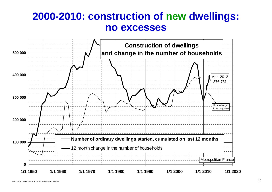#### **2000-2010: construction of new dwellings: no excesses**

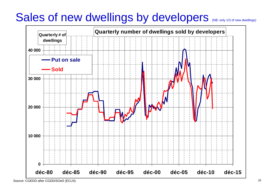## Sales of new dwellings by developers (NB: only 1/3 of new dwellings)

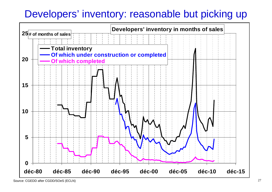### Developers' inventory: reasonable but picking up

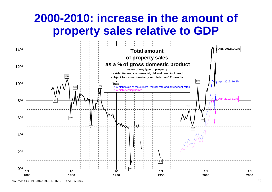### **2000-2010: increase in the amount of property sales relative to GDP**



Source: CGEDD after DGFiP, INSEE and Toutain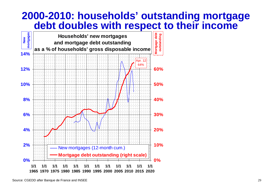#### **2000-2010: households' outstanding mortgage debt doubles with respect to their income**

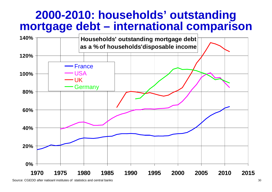#### **2000-2010: households' outstandingmortgage debt – international comparison**



Source: CGEDD after natioanl institutes of statistics and central banks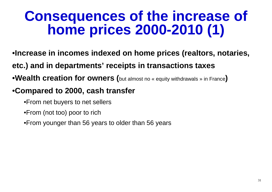# **Consequences of the increase of home prices 2000-2010 (1)**

- •**Increase in incomes indexed on home prices (realtors, notaries,**
- **etc.) and in departments' receipts in transactions taxes**
- •**Wealth creation for owners (**but almost no « equity withdrawals » in France**)**

#### •**Compared to 2000, cash transfer**

- •From net buyers to net sellers
- •From (not too) poor to rich
- •From younger than 56 years to older than 56 years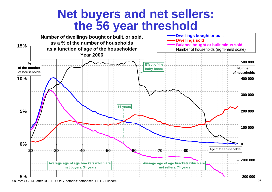### **Net buyers and net sellers: the 56 year threshold**



Source: CGEDD after DGFiP, SOeS, notaries' databases, EPTB, Filocom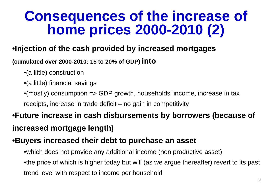# **Consequences of the increase of home prices 2000-2010 (2)**

#### •**Injection of the cash provided by increased mortgages**

#### **(cumulated over 2000-2010: 15 to 20% of GDP) into**

- •(a little) construction
- •(a little) financial savings
- •(mostly) consumption => GDP growth, households' income, increase in taxreceipts, increase in trade deficit – no gain in competitivity

#### •**Future increase in cash disbursements by borrowers (because of increased mortgage length)**

#### •**Buyers increased their debt to purchase an asset**

- •which does not provide any additional income (non productive asset)
- •the price of which is higher today but will (as we argue thereafter) revert to its past trend level with respect to income per household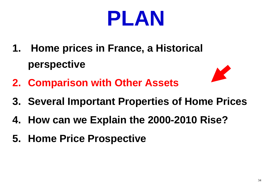

- **1. Home prices in France, a Historical perspective**
- **2. Comparison with Other Assets**
- **3. Several Important Properties of Home Prices**
- **4. How can we Explain the 2000-2010 Rise?**
- **5. Home Price Prospective**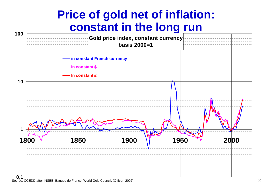### **Price of gold net of inflation: constant in the long run**

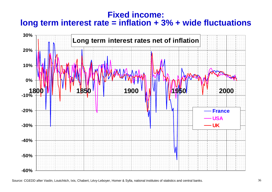#### **Fixed** income: **long term interest rate = inflation + 3% + wide fluctuations**



Source: CGEDD after Vaslin, Loutchitch, Ixis, Chabert, Lévy-Leboyer, Homer & Sylla, national institutes of statistics and central banks.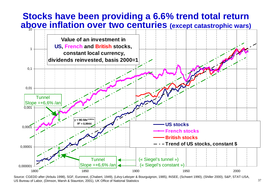#### **Stocks have been providing a 6.6% trend total return above inflation over two centuries (except catastrophic wars)** 10



Source: CGEDD after (Arbulu 1998), SGF, Euronext, (Chabert, 1949), (Lévy-Leboyer & Bourguignon, 1985), INSEE, (Schwert 1990), (Shiller 2000), S&P, STAT-USA, US Bureau of Labor, (Dimson, Marsh & Staunton, 2001), UK Office of National Statistics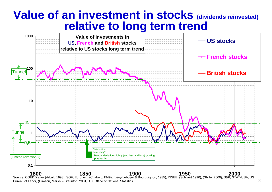## **Value of an investment in stocks (dividends reinvested) relative to long term trend**



1800 2000 1850 1900 1900 1950<br>Source: CGEDD after (Arbulu 1998), SGF, Euronext, (Chabert, 1949), (Lévy-Leboyer & Bourguignon, 1985), INSEE, (Schwert 1990), (Shiller 2000), S&P, STAT-USA, US Bureau of Labor, (Dimson, Marsh & Staunton, 2001), UK Office of National Statistics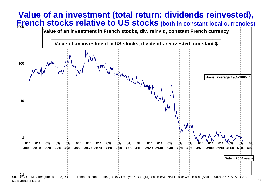#### **Value of an investment (total return: dividends reinvested), French stocks relative to US stocks (both in constant local currencies)**

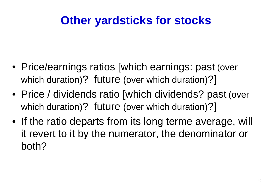## **Other yardsticks for stocks**

- Price/earnings ratios [which earnings: past (over which duration)? future (over which duration)?]
- Price / dividends ratio [which dividends? past (over which duration)? future (over which duration)?]
- If the ratio departs from its long terme average, will<br>it royert to it by the numerator, the depeminator or it revert to it by the numerator, the denominator or both?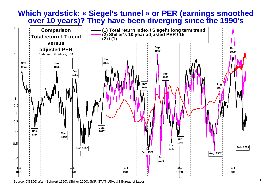#### **Which yardstick: « Siegel's tunnel » or PER (earnings smoothed over 10 years)? They have been diverging since the 1990's**

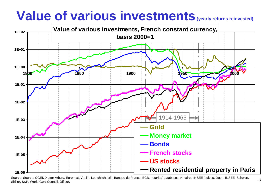# **Value of various investments** (yearly returns reinvested)



Source: Source: CGEDD after Arbulu, Euronext, Vaslin, Loutchitch, Ixis, Banque de France, ECB, notaries' databases, Notaires-INSEE indices, Duon, INSEE, Schwert, Shiller, S&P, World Gold Council, Officer.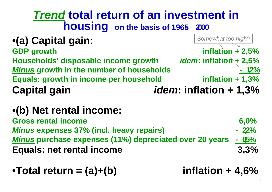#### **Trend total return of an investment in housingon the basis of 1965- <sup>2000</sup>**

| •(a) Capital gain:                              | Somewhat too high?               |
|-------------------------------------------------|----------------------------------|
| <b>GDP</b> growth                               | inflation $+2,5%$                |
| Households' disposable income growth            | <i>idem</i> : inflation $+2,5%$  |
| <b>Minus growth in the number of households</b> | $-12%$                           |
| Equals: growth in income per household          | inflation $+1,3%$                |
| <b>Capital gain</b>                             | <i>idem</i> : inflation $+ 1,3%$ |

### •**(b) Net rental income:**

**Gross rental income 6,0%** $-22%$ **Minus expenses 37% (incl. heavy repairs) - 2,2%** $-05%$ **Minus purchase expenses (11%) depreciated over 20 years - 0,5%** $3,3%$ **Equals: net rental income 3,3%**

### •**Total return = (a)+(b) inflation + 4,6%**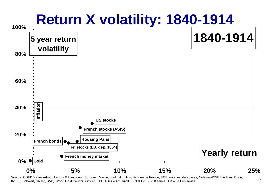

INSEE, Schwert, Shiller, S&P, World Gold Council, Officer. NB : ASIS = Arbulu-SGF-INSEE-SBF250 series. LB = Le Bris series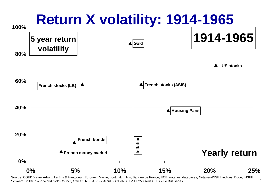

Schwert, Shiller, S&P, World Gold Council, Officer. NB : ASIS = Arbulu-SGF-INSEE-SBF250 series. LB = Le Bris series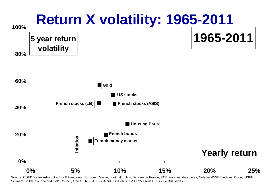

Schwert, Shiller, S&P, World Gold Council, Officer. NB : ASIS = Arbulu-SGF-INSEE-SBF250 series. LB = Le Bris series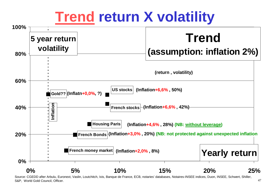# **Trend return X volatility**



S&P, World Gold Council, Officer.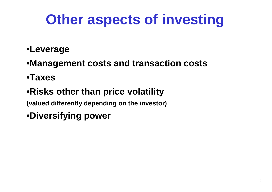## **Other aspects of investing**

#### •**Leverage**

- •**Management costs and transaction costs**
- •**Taxes**

### •**Risks other than price volatility**

**(valued differently depending on the investor)**

•**Diversifying power**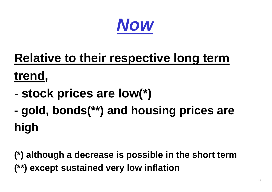

## **Relative to their respective long termtrend,**

- **stock prices are low(\*)**
- **gold, bonds(\*\*) and housing prices are high**

**(\*) although a decrease is possible in the short term(\*\*) except sustained very low inflation**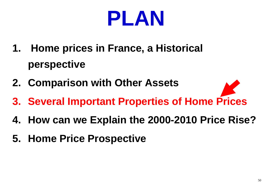

- **1. Home prices in France, a Historical perspective**
- **2. Comparison with Other Assets**
- **3. Several Important Properties of Home Prices**
- **4. How can we Explain the 2000-2010 Price Rise?**
- **5. Home Price Prospective**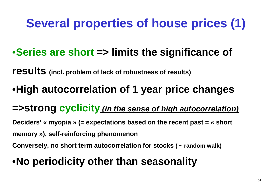## **Several properties of house prices (1)**

### •**Series are short => limits the significance of**

**results(incl. problem of lack of robustness of results)**

## •**High autocorrelation of 1 year price changes**

**=>strong cyclicity (in the sense of high autocorrelation)**

**Deciders' « myopia » (= expectations based on the recent past = « short memory »), self-reinforcing phenomenon**

**Conversely, no short term autocorrelation for stocks ( ~ random walk)**

## •**No periodicity other than seasonality**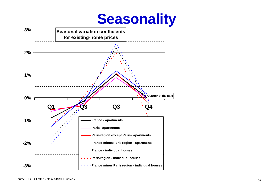### **Seasonality**

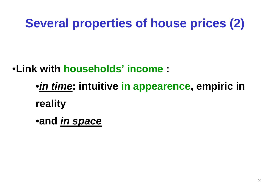## **Several properties of house prices (2)**

•**Link with households' income :**

•**in time: intuitive in appearence, empiric in reality**

•**and in space**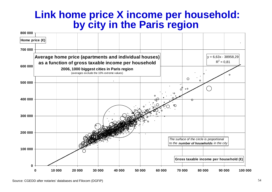### **Link home price X income per household: by city in the Paris region**

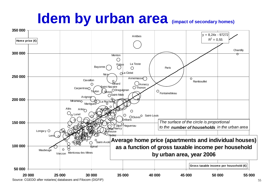#### **Idem by urban area(impact of secondary homes)**

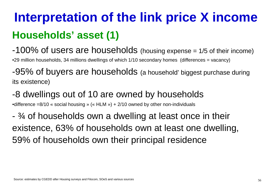## **Interpretation of the link price X income Households' asset (1)**

-100% of users are households (housing expense = 1/5 of their income)

•29 million households, 34 millions dwellings of which 1/10 secondary homes (differences = vacancy)

-95% of buyers are households (a household' biggest purchase during its existence)

-8 dwellings out of 10 are owned by households

•difference =8/10 « social housing » (« HLM ») + 2/10 owned by other non-individuals

- ¾ of households own a dwelling at least once in theirexistence, 63% of households own at least one dwelling, 59% of households own their principal residence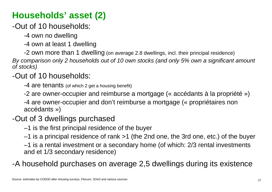### **Households' asset (2)**

-Out of 10 households:

-4 own no dwelling

-4 own at least 1 dwelling

-2 own more than 1 dwelling (on average 2.8 dwellings, incl. their principal residence)

By comparison only 2 households out of 10 own stocks (and only 5% own a significant amount of stocks)

#### -Out of 10 households:

-4 are tenants (of which 2 get a housing benefit)

-2 are owner-occupier and reimburse a mortgage (« accédants à la propriété »)

-4 are owner-occupier and don't reimburse a mortgage (« propriétaires non accédants »)

#### -Out of 3 dwellings purchased

–1 is the first principal residence of the buyer

–1 is a principal residence of rank >1 (the 2nd one, the 3rd one, etc.) of the buyer

–1 is a rental investment or a secondary home (of which: 2/3 rental investmentsand et 1/3 secondary residence)

-A household purchases on average 2,5 dwellings during its existence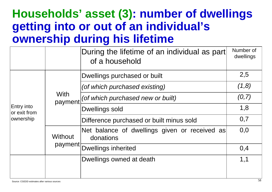### **Households' asset (3): number of dwellingsgetting into or out of an individual's ownership during his lifetime**

|                                         |                        | During the lifetime of an individual as part<br>of a household | Number of<br>dwellings |
|-----------------------------------------|------------------------|----------------------------------------------------------------|------------------------|
| Entry into<br>or exit from<br>ownership | <b>With</b><br>payment | Dwellings purchased or built                                   | 2,5                    |
|                                         |                        | (of which purchased existing)                                  | (1,8)                  |
|                                         |                        | (of which purchased new or built)                              | (0,7)                  |
|                                         |                        | Dwellings sold                                                 | 1,8                    |
|                                         |                        | Difference purchased or built minus sold                       | 0,7                    |
|                                         | <b>Without</b>         | Net balance of dwellings given or received as<br>donations     | 0,0                    |
|                                         |                        | payment Dwellings inherited                                    | 0,4                    |
|                                         |                        | Dwellings owned at death                                       | 1,1                    |
|                                         |                        |                                                                |                        |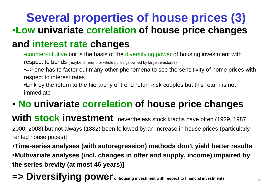## **Several properties of house prices (3)** •**Low univariate correlation of house price changes**

### **and interest rate changes**

•counter-intuitive but is the basis of the diversifying power of housing investment with respect to bonds (maybe different for whole buildings owned by large investors?)

• = > one has to factor out many other phenomena to see the sensitivity of home prices with respect to interest rates

•Link by the return to the hierarchy of trend return-risk couples but this return is not immediate

### • **No univariate correlation of house price changes**

**with stock investment** [nevertheless stock krachs have often (1929, 1987,

2000, 2008) but not always (1882) been followed by an increase in house prices (particularlyrented house prices)]

•**Time-series analyses (with autoregression) methods don't yield better results** •**Multivariate analyses (incl. changes in offer and supply, income) impaired by the series brevity (at most 46 years)]**

**=> Diversifying power of housing investment with respect to financial investments**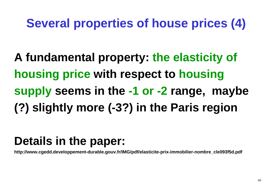## **Several properties of house prices (4)**

**A fundamental property: the elasticity of housing price with respect to housing supply seems in the -1 or -2 range, maybe (?) slightly more (-3?) in the Paris region**

## **Details in the paper:**

**http://www.cgedd.developpement-durable.gouv.fr/IMG/pdf/elasticite-prix-immobilier-nombre\_cle093f5d.pdf**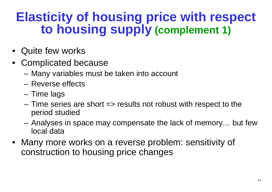## **Elasticity of housing price with respect to housing supply (complement 1)**

- Quite few works
- Complicated because
	- –Many variables must be taken into account
	- and the state of the Reverse effects
	- and the state of the Time lags
	- **Links of the Common**  Time series are short => results not robust with respect to theperiod studied
	- and the state of the Analyses in space may compensate the lack of memory… but fewlocal data
- Many more works on a reverse problem: sensitivity of construction to housing price changes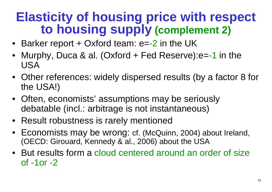## **Elasticity of housing price with respect to housing supply (complement 2)**

- Barker report + Oxford team: e=-2 in the UK
- Murphy, Duca & al. (Oxford + Fed Reserve):e=-1 in the•USA
- Other references: widely dispersed results (by a factor 8 for the USA!)
- Often, economists' assumptions may be seriouslydebatable (incl.: arbitrage is not instantaneous)
- Result robustness is rarely mentioned
- Economists may be wrong: cf. (McQuinn, 2004) about Ireland, (OECD: Girouard, Kennedy & al., 2006) about the USA
- But results form a cloud centered around an order of size<br>of -1or -2 of -1or -2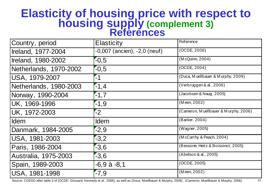### **Elasticity of housing price with respect to housingsupply (complement 3) References**

| Country, period        | <b>Elasticity</b>                | <b>Reference</b>                     |
|------------------------|----------------------------------|--------------------------------------|
| Ireland, 1977-2004     | $-0,007$ (ancien), $-2,0$ (neuf) | (OCDE, 2006)                         |
| Ireland, 1980-2002     | $-0,5$                           | (M cQuinn, 2004)                     |
| Netherlands, 1970-2002 | $-0,5$                           | (OCDE, 2004)                         |
| USA, 1979-2007         | $-1$                             | (Duca, Muellbauer & Murphy, 2009)    |
| Netherlands, 1980-2003 | $-1,4$                           | (Verbruggen & al., 2006)             |
| Norway, 1990-2004      | $-1,7$                           | (Jacobsen & Naug, 2005)              |
| UK, 1969-1996          | $-1,9$                           | (Meen, 2002)                         |
| UK, 1972-2003          | $-2$                             | (Cameron, Muellbauer & Murphy, 2006) |
| <b>Idem</b>            | <b>I</b> dem                     | (Barker, 2004)                       |
| Danmark, 1984-2005     | $-2,9$                           | (Wagner, 2005)                       |
| USA, 1981-2003         | $-3,2$                           | (McCarthy & Peach, 2004)             |
| Paris, 1986-2004       | $-3,6$                           | (Bessone, Heitz & Boissinot, 2005)   |
| Australia, 1975-2003   | $-3,6$                           | (Abelson & al., 2005)                |
| Spain, 1989-2003       | $-6,9$ à $-8,1$                  | (OCDE, 2005)                         |
| USA, 1981-1998         | $-7,9$                           | (Meen, 2002)                         |

Source: CGEDD after table 3 of (OCDE: Girouard, Kennedy et al., 2006), as well as (Duca, Muellbauer & Murphy, 2009) , (Cameron, Muellbauer & Murphy, 2006).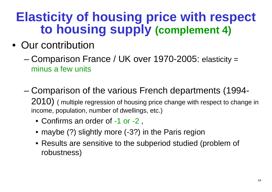## **Elasticity of housing price with respect to housing supply (complement 4)**

- Our contribution
	- and the state of the state Comparison France / UK over 1970-2005: elasticity <sup>=</sup> minus a few units
	- and the state of the state Comparison of the various French departments (1994-2010) (multiple regression of housing price change with respect to change in income, population, number of dwellings, etc.)
		- Confirms an order of -1 or -2 ,
		- maybe (?) slightly more (-3?) in the Paris region
		- Results are sensitive to the subperiod studied (problem of robustness)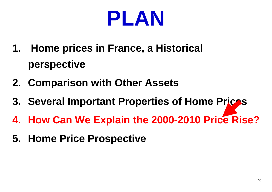

- **1. Home prices in France, a Historical perspective**
- **2. Comparison with Other Assets**
- **3. Several Important Properties of Home Prices**
- **4. How Can We Explain the 2000-2010 Price Rise?**
- **5. Home Price Prospective**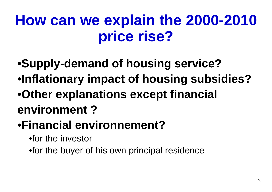- •**Supply-demand of housing service?**  •**Inflationary impact of housing subsidies?** •**Other explanations except financial environment ?**
- •**Financial environnement?**
	- •for the investor
	- •for the buyer of his own principal residence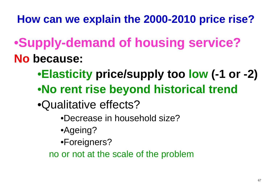- •**Supply-demand of housing service? No because:**
	- •**Elasticity price/supply too low (-1 or -2)**
	- •**No rent rise beyond historical trend**
	- •Qualitative effects?
		- •Decrease in household size?
		- •Ageing?
		- •Foreigners?
		- no or not at the scale of the problem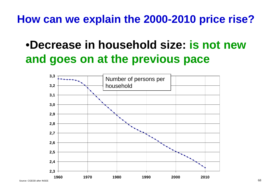## •**Decrease in household size: is not new and goes on at the previous pace**

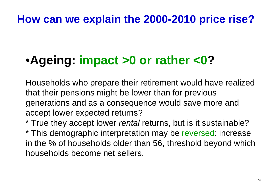### •**Ageing: impact >0 or rather <0?**

Households who prepare their retirement would have realizedthat their pensions might be lower than for previous generations and as a consequence would save more andaccept lower expected returns?

\* True they accept lower *rental* returns, but is it sustainable? \* This demographic interpretation may be reversed: increase in the % of households older than 56, threshold beyond whichhouseholds become net sellers.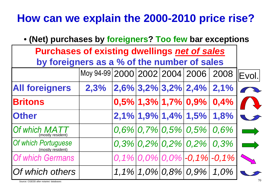| • (Net) purchases by foreigners? Too few bar exceptions |                                    |  |  |  |                                  |                                                              |                                                                                                                                                                                                                                      |  |
|---------------------------------------------------------|------------------------------------|--|--|--|----------------------------------|--------------------------------------------------------------|--------------------------------------------------------------------------------------------------------------------------------------------------------------------------------------------------------------------------------------|--|
| <b>Purchases of existing dwellings net of sales</b>     |                                    |  |  |  |                                  |                                                              |                                                                                                                                                                                                                                      |  |
| by foreigners as a % of the number of sales             |                                    |  |  |  |                                  |                                                              |                                                                                                                                                                                                                                      |  |
|                                                         | Moy 94-99 2000 2002 2004 2006 2008 |  |  |  |                                  |                                                              | Evol.                                                                                                                                                                                                                                |  |
| <b>All foreigners</b>                                   | 2,3%                               |  |  |  | $ 2,6\% 3,2\% 3,2\% 2,4\% 2,1\%$ |                                                              |                                                                                                                                                                                                                                      |  |
| <b>Britons</b>                                          |                                    |  |  |  |                                  | $\left  0,5\% \right $ 1,3% 1,7% $\left  0,9\% \right $ 0,4% |                                                                                                                                                                                                                                      |  |
| <b>Other</b>                                            |                                    |  |  |  | $2,1\%$ 1,9% 1,4% 1,5% 1,8%      |                                                              |                                                                                                                                                                                                                                      |  |
| Of which MA <sub>1</sub><br>(mostly resident)           |                                    |  |  |  |                                  | $0,6\%$ 0,7% 0,5% 0,5% 0,6%                                  | <u>and the second part of the second part of the second part of the second part of the second part of the second part of the second part of the second part of the second part of the second part of the second part of the seco</u> |  |
| Of which Portuguese<br>(mostly resident)                |                                    |  |  |  |                                  | $0,3\%$ 0,2% 0,2% 0,2% 0,3%                                  | <u>an shi ne</u>                                                                                                                                                                                                                     |  |
| Of which Germans                                        |                                    |  |  |  |                                  | $0,1\%$ 0,0% 0,0% -0,1% -0,1%                                |                                                                                                                                                                                                                                      |  |
| Of which others                                         |                                    |  |  |  | $1,1\%$ 1,0% 0,8% 0,9% 1,0%      |                                                              | 70                                                                                                                                                                                                                                   |  |
| Source: CGEDD after notaries' databases                 |                                    |  |  |  |                                  |                                                              |                                                                                                                                                                                                                                      |  |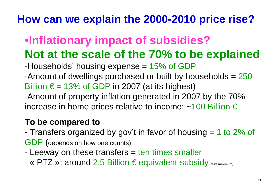### •**Inflationary impact of subsidies?Not at the scale of the 70% to be explained**

-Households' housing expense = 15% of GDP<br>-Amount of dwellings purchased or built by ho

-Amount of dwellings purchased or built by households = 250 Billion  $\epsilon$  = 13% of GDP in 2007 (at its highest)

-Amount of property inflation generated in 2007 by the 70% increase in home prices relative to income:  $~100$  Billion €

#### **To be compared to**

- I ranetare araanız Transfers organized by gov't in favor of housing = 1 to 2% of GDP (depends on how one counts)

- Leeway on these transfers  $=$  ten times smaller
- -« PTZ »: around 2,5 Billion € equivalent-subsidy (at its maximum)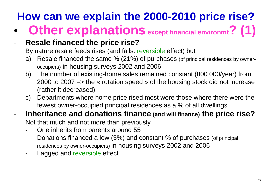$\bullet$ **Other explanationsexcept financial environmt? (1)**

#### -**Resale financed the price rise?**

By nature resale feeds rises (and falls: reversible effect) but

- a) Resale financed the same % (21%) of purchases (of principal residences by owneroccupiers) in housing surveys 2002 and 2006
- b) The number of existing-home sales remained constant (800 000/year) from 2000 to 2007 => the « rotation speed » of the housing stock did not increase(rather it decreased)
- c) Departments where home price rised most were those where there were the fewest owner-occupied principal residences as a % of all dwellings

#### **Inheritance and donations finance (and will finance) the price rise?**-

Not that much and not more than previously

- -One inherits from parents around 55
- - Donations financed a low (3%) and constant % of purchases (of principal residences by owner-occupiers) in housing surveys 2002 and 2006
- -Lagged and reversible effect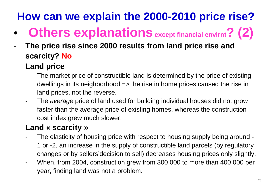- $\bullet$ **Others explanationsexcept financial envirnt? (2)**
- - **The price rise since 2000 results from land price rise and scarcity? No**
	- **Land price**
	- The market price of constructible land is determined by the price of existing dwellings in its neighborhood => the rise in home prices caused the rise in land prices, not the reverse.
	- -The average price of land used for building individual houses did not grow faster than the average price of existing homes, whereas the construction cost index grew much slower.

#### **Land « scarcity »**

- The elasticity of housing price with respect to housing supply being around --1 or -2, an increase in the supply of constructible land parcels (by regulatorychanges or by sellers'decision to sell) decreases housing prices only slightly.
- -When, from 2004, construction grew from 300 000 to more than 400 000 per year, finding land was not a problem.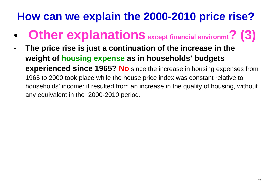- $\bullet$ **Other explanationsexcept financial environmt? (3)**
- - **The price rise is just a continuation of the increase in theweight of housing expense as in households' budgets experienced since 1965? No** since the increase in housing expenses from1965 to 2000 took place while the house price index was constant relative to households' income: it resulted from an increase in the quality of housing, without any equivalent in the 2000-2010 period.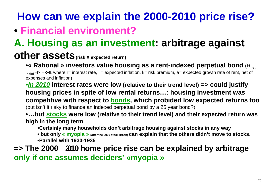### • **Financial environment?**

## **A. Housing as an investment: arbitrage against**

#### **other assets(risk X expected return)**

•**« Rational » investors value housing as a rent-indexed perpetual bond** (Rnetinitial~r-i+k-a where r= interest rate, i = expected inflation, k= risk premium, a= expected growth rate of rent, net of expenses and inflation)

•**In 2010 interest rates were low (relative to their trend level) => could justify housing prices in spite of low rental returns…: housing investment was competitive with respect to bonds, which probided low expected returns too**(but isn't it risky to finance an indexed perpetual bond by a 25 year bond?)

•**…but stocks were low (relative to their trend level) and their expected return was high in the long term**

•**Certainly many households don't arbitrage housing against stocks in any way**

• but only « myopia » <sub>(after the 2000 stock krach)</sub> can explain that the others didn't move to stocks.<br>———————————————————— •**Parallel with 1930-1935**

#### **=> The 2000- 2010 home price rise can be explained by arbitrage only if one assumes deciders' «myopia »**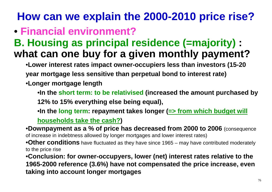### • **Financial environment?**

### **B. Housing as principal residence (=majority) : what can one buy for a given monthly payment?**

- •**Lower interest rates impact owner-occupiers less than investors (15-20 year mortgage less sensitive than perpetual bond to interest rate)**
- •**Longer mortgage length**
	- •**In the short term: to be relativised (increased the amount purchased by 12% to 15% everything else being equal),**
	- •**In the long term: repayment takes longer (=> from which budget will households take the cash?)**

•**Downpayment as a % of price has decreased from 2000 to 2006** (consequence of increase in indebtness allowed by longer mortgages and lower interest rates)

•**Other conditions** have fluctuated as they have since 1965 – may have contributed moderately to the price rise

 •**Conclusion: for owner-occupyers, lower (net) interest rates relative to the 1965-2000 reference (3.6%) have not compensated the price increase, eventaking into account longer mortgages**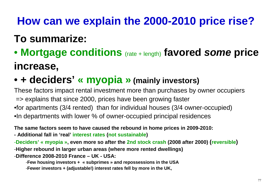### **To summarize:**

• **Mortgage conditions** (rate + length) **favored some price increase,**

## • **+ deciders' « myopia » (mainly investors)**

These factors impact rental investment more than purchases by owner occupiers=> explains that since 2000, prices have been growing faster•for apartments (3/4 rented) than for individual houses (3/4 owner-occupied)

•In departments with lower % of owner-occupied principal residences

**The same factors seem to have caused the rebound in home prices in 2009-2010:**

**- Additional fall in 'real' interest rates (not sustainable)**

-**Deciders' « myopia », even more so after the 2nd stock crash (2008 after 2000) (reversible)**

-**Higher rebound in larger urban areas (where more rented dwellings)** 

-**Difference 2008-2010 France – UK - USA:** 

-**Few housing investors <sup>+</sup> « subprimes » and repossessions in the USA** 

-**Fewer investors + (adjustable!) interest rates fell by more in the UK,**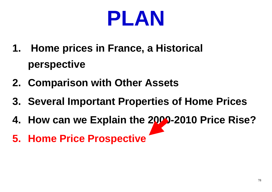

- **1. Home prices in France, a Historical perspective**
- **2. Comparison with Other Assets**
- **3. Several Important Properties of Home Prices**
- **4. How can we Explain the 2000-2010 Price Rise?**
- **5. Home Price Prospective**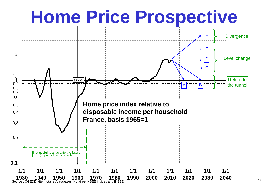

79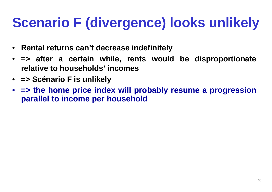# **Scenario F (divergence) looks unlikely**

- **Rental returns can't decrease indefinitely**
- **=> after a certain while, rents would be disproportionaterelative to households' incomes**
- **=> Scénario F is unlikely**
- • **=> the home price index will probably resume a progression parallel to income per household**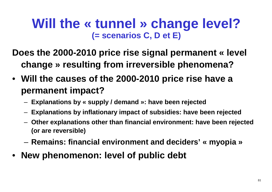### **Will the « tunnel » change level? (= scenarios C, D et E)**

**Does the 2000-2010 price rise signal permanent « level change » resulting from irreversible phenomena?**

- **Will the causes of the 2000-2010 price rise have a permanent impact?**
	- –**Explanations by « supply / demand »: have been rejected**
	- –**Explanations by inflationary impact of subsidies: have been rejected**
	- – **Other explanations other than financial environment: have been rejected(or are reversible)**
	- and the state of the **Remains: financial environment and deciders' « myopia »**
- •**New phenomenon: level of public debt**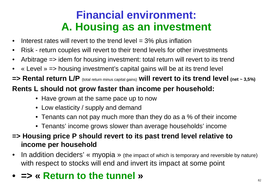## **Financial environment: A. Housing as an investment**

- •Interest rates will revert to the trend level  $=$  3% plus inflation
- •Risk - return couples will revert to their trend levels for other investments
- •Arbitrage => idem for housing investment: total return will revert to its trend
- $\bullet$ « Level » => housing investment's capital gains will be at its trend level
- **=> Rental return L/P** (total return minus capital gains) **will revert to its trend level (net ~ 3,5%) Rents L should not grow faster than income per household:**
	- Have grown at the same pace up to now
	- Low elasticity / supply and demand
	- $\bullet\,$  Tenants can not pay much more than they do as a % of their income
	- Tenants' income grows slower than average households' income
- **=> Housing price P should revert to its past trend level relative to income per household**
- $\bullet$ In addition deciders' « myopia » (the impact of which is temporary and reversible by nature) with respect to stocks will end and invert its impact at some point
- **=> « Return to the tunnel »**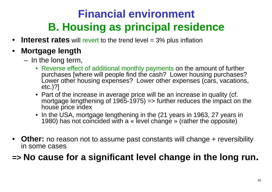## **Financial environmentB. Housing as principal residence**

- $\bullet$ **Interest rates** will revert to the trend level = 3% plus inflation
- • **Mortgage length**
	- $-$  In the long terr In the long term,
		- Reverse effect of additional monthly payments on the amount of further purchases [where will people find the cash? Lower housing purchases?<br>Lower ather housing expenses? Lower ather expenses (ears vesstions) Lower other housing expenses? Lower other expenses (cars, vacations, etc.)?]
		- Part of the increase in average price will be an increase in quality (cf.<br>martgage lengthening of 1065,1075) sufficition reduces the impact on mortgage lengthening of 1965-1975) => further reduces the impact on thehouse price index
		- In the USA, mortgage lengthening in the (21 years in 1963, 27 years in 1980) has not coincided with a « level change » (rather the opposite)
- •**Other:** no reason not to assume past constants will change + reversibility in some cases

#### **=> No cause for a significant level change in the long run.**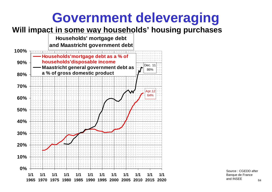## **Government deleveraging**

#### **Will impact in some way households' housing purchases**

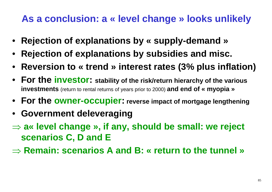#### **As a conclusion: a « level change » looks unlikely**

- •**Rejection of explanations by « supply-demand»**
- •**Rejection of explanations by subsidies and misc.**
- **Reversion to « trend » interest rates (3% plus inflation)**
- **For the investor: stability of the risk/return hierarchy of the various investments** (return to rental returns of years prior to 2000) **and end of « myopia »**
- **For the owner-occupier: reverse impact of mortgage lengthening**
- **Government deleveraging**
- ⇒ **a« level change », if any, should be small: we reject scenarios C, D andE**
- ⇒ **Remain: scenarios A and B: « return to the tunnel »**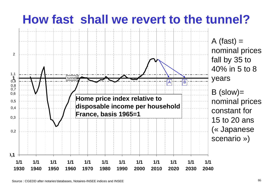# **How fast shall we revert to the tunnel?**

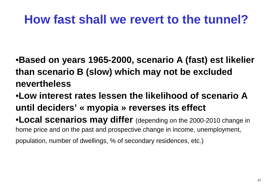# **How fast shall we revert to the tunnel?**

•**Based on years 1965-2000, scenario A (fast) est likelier than scenario B (slow) which may not be excluded nevertheless**

•**Low interest rates lessen the likelihood of scenario <sup>A</sup> until deciders' « myopia » reverses its effect**

•**Local scenarios may differ** (depending on the 2000-2010 change in home price and on the past and prospective change in income, unemployment,

population, number of dwellings, % of secondary residences, etc.)